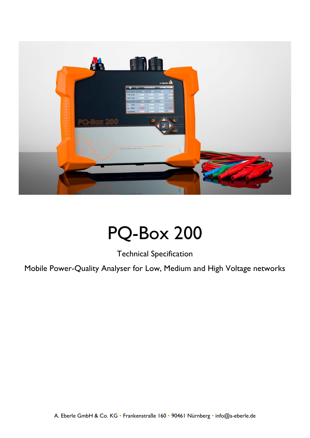

## PQ-Box 200

Technical Specification

Mobile Power-Quality Analyser for Low, Medium and High Voltage networks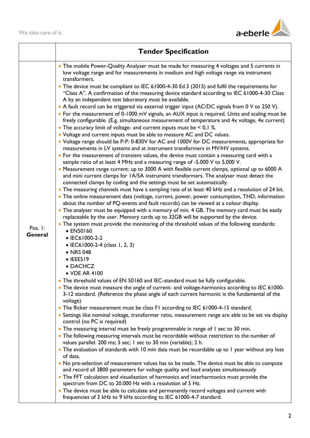

|                                 | <b>Tender Specification</b>                                                                                                                                                                                                                                                                                                                                                                                                                                                                                                                                                                                                                                                                                                                                                                                                                                                                                                                                                                                                                                                                                                                                                                                                                                                                                                                                                                                                                                                                                                                                                                                                                                                                                                                                                                                                                                                                                                                                           |
|---------------------------------|-----------------------------------------------------------------------------------------------------------------------------------------------------------------------------------------------------------------------------------------------------------------------------------------------------------------------------------------------------------------------------------------------------------------------------------------------------------------------------------------------------------------------------------------------------------------------------------------------------------------------------------------------------------------------------------------------------------------------------------------------------------------------------------------------------------------------------------------------------------------------------------------------------------------------------------------------------------------------------------------------------------------------------------------------------------------------------------------------------------------------------------------------------------------------------------------------------------------------------------------------------------------------------------------------------------------------------------------------------------------------------------------------------------------------------------------------------------------------------------------------------------------------------------------------------------------------------------------------------------------------------------------------------------------------------------------------------------------------------------------------------------------------------------------------------------------------------------------------------------------------------------------------------------------------------------------------------------------------|
| Pos. $\vdots$<br><b>General</b> | • The mobile Power-Quality Analyser must be made for measuring 4 voltages and 5 currents in<br>low voltage range and for measurements in medium and high voltage range via instrument<br>transformers.                                                                                                                                                                                                                                                                                                                                                                                                                                                                                                                                                                                                                                                                                                                                                                                                                                                                                                                                                                                                                                                                                                                                                                                                                                                                                                                                                                                                                                                                                                                                                                                                                                                                                                                                                                |
|                                 | • The device must be compliant to IEC 61000-4-30 Ed.3 (2015) and fulfil the requirements for<br>"Class A". A confirmation of the measuring device standard according to IEC 61000-4-30 Class<br>A by an independent test laboratory must be available.<br>• A fault record can be triggered via external trigger input (AC/DC signals from 0 V to 250 V).<br>• For the measurement of 0-1000 mV signals, an AUX input is required. Units and scaling must be<br>freely configurable. (E.g. simultaneous measurement of temperature and 4x voltage, 4x current)<br>• The accuracy limit of voltage- and current inputs must be $\leq 0,1\%$ .<br>• Voltage and current inputs must be able to measure AC and DC values.<br>• Voltage range should be P-P: 0-830V for AC and 1000V for DC measurements, appropriate for<br>measurements in LV systems and at instrument transformers in MV/HV systems.<br>• For the measurement of transient values, the device must contain a measuring card with a<br>sample ratio of at least 4 MHz and a measuring range of -5.000 V to 5.000 V.<br>• Measurement range current: up to 3000 A with flexible current clamps, optional up to 6000 A<br>and mini current clamps for 1A/5A instrument transformers. The analyser must detect the<br>connected clamps by coding and the settings must be set automatically.<br>• The measuring channels must have a sampling rate of at least 40 kHz and a resolution of 24 bit.<br>• The online measurement data (voltage, current, power, power consumption, THD, information<br>about the number of PQ-events and fault records) can be viewed at a colour display.<br>• The analyser must be equipped with a memory of min. 4 GB. The memory card must be easily<br>replaceable by the user. Memory cards up to 32GB will be supported by the device.<br>• The system must provide the monitoring of the threshold values of the following standards:<br>• EN50160<br>• IEC61000-2-2 |
|                                 | • IEC61000-2-4 (class 1, 2, 3)<br>• NRS 048<br>$\bullet$ IEEE519<br>• DACHCZ                                                                                                                                                                                                                                                                                                                                                                                                                                                                                                                                                                                                                                                                                                                                                                                                                                                                                                                                                                                                                                                                                                                                                                                                                                                                                                                                                                                                                                                                                                                                                                                                                                                                                                                                                                                                                                                                                          |
|                                 | • VDE AR 4100                                                                                                                                                                                                                                                                                                                                                                                                                                                                                                                                                                                                                                                                                                                                                                                                                                                                                                                                                                                                                                                                                                                                                                                                                                                                                                                                                                                                                                                                                                                                                                                                                                                                                                                                                                                                                                                                                                                                                         |
|                                 | • The threshold values of EN 50160 and IEC-standard must be fully configurable.                                                                                                                                                                                                                                                                                                                                                                                                                                                                                                                                                                                                                                                                                                                                                                                                                                                                                                                                                                                                                                                                                                                                                                                                                                                                                                                                                                                                                                                                                                                                                                                                                                                                                                                                                                                                                                                                                       |
|                                 | • The device must measure the angle of current- and voltage-harmonics according to IEC 61000-<br>3-12 standard. (Reference the phase angle of each current harmonic is the fundamental of the<br>voltage)                                                                                                                                                                                                                                                                                                                                                                                                                                                                                                                                                                                                                                                                                                                                                                                                                                                                                                                                                                                                                                                                                                                                                                                                                                                                                                                                                                                                                                                                                                                                                                                                                                                                                                                                                             |
|                                 | • The flicker measurement must be class FI according to IEC 61000-4-15 standard.                                                                                                                                                                                                                                                                                                                                                                                                                                                                                                                                                                                                                                                                                                                                                                                                                                                                                                                                                                                                                                                                                                                                                                                                                                                                                                                                                                                                                                                                                                                                                                                                                                                                                                                                                                                                                                                                                      |
|                                 | · Settings like nominal voltage, transformer ratio, measurement range are able to be set via display<br>control (no PC is required)                                                                                                                                                                                                                                                                                                                                                                                                                                                                                                                                                                                                                                                                                                                                                                                                                                                                                                                                                                                                                                                                                                                                                                                                                                                                                                                                                                                                                                                                                                                                                                                                                                                                                                                                                                                                                                   |
|                                 | • The measuring interval must be freely programmable in range of I sec to 30 min.                                                                                                                                                                                                                                                                                                                                                                                                                                                                                                                                                                                                                                                                                                                                                                                                                                                                                                                                                                                                                                                                                                                                                                                                                                                                                                                                                                                                                                                                                                                                                                                                                                                                                                                                                                                                                                                                                     |
|                                 | • The following measuring intervals must be recordable without restriction to the number of<br>values parallel: 200 ms; 3 sec; 1 sec to 30 min (variable); 2 h.                                                                                                                                                                                                                                                                                                                                                                                                                                                                                                                                                                                                                                                                                                                                                                                                                                                                                                                                                                                                                                                                                                                                                                                                                                                                                                                                                                                                                                                                                                                                                                                                                                                                                                                                                                                                       |
|                                 | • The evaluation of standards with 10 min data must be recordable up to 1 year without any loss<br>of data.                                                                                                                                                                                                                                                                                                                                                                                                                                                                                                                                                                                                                                                                                                                                                                                                                                                                                                                                                                                                                                                                                                                                                                                                                                                                                                                                                                                                                                                                                                                                                                                                                                                                                                                                                                                                                                                           |
|                                 | • No pre-selection of measurement values has to be made. The device must be able to compute                                                                                                                                                                                                                                                                                                                                                                                                                                                                                                                                                                                                                                                                                                                                                                                                                                                                                                                                                                                                                                                                                                                                                                                                                                                                                                                                                                                                                                                                                                                                                                                                                                                                                                                                                                                                                                                                           |
|                                 | and record all 3800 parameters for voltage quality and load analyses simultaneously                                                                                                                                                                                                                                                                                                                                                                                                                                                                                                                                                                                                                                                                                                                                                                                                                                                                                                                                                                                                                                                                                                                                                                                                                                                                                                                                                                                                                                                                                                                                                                                                                                                                                                                                                                                                                                                                                   |
|                                 | • The FFT calculation and visualisation of harmonics and interharmonics must provide the<br>spectrum from DC to 20.000 Hz with a resolution of 5 Hz.                                                                                                                                                                                                                                                                                                                                                                                                                                                                                                                                                                                                                                                                                                                                                                                                                                                                                                                                                                                                                                                                                                                                                                                                                                                                                                                                                                                                                                                                                                                                                                                                                                                                                                                                                                                                                  |
|                                 | • The device must be able to calculate and permanently record voltages and current with                                                                                                                                                                                                                                                                                                                                                                                                                                                                                                                                                                                                                                                                                                                                                                                                                                                                                                                                                                                                                                                                                                                                                                                                                                                                                                                                                                                                                                                                                                                                                                                                                                                                                                                                                                                                                                                                               |
|                                 | frequencies of 2 kHz to 9 kHz according to IEC 61000-4-7 standard.                                                                                                                                                                                                                                                                                                                                                                                                                                                                                                                                                                                                                                                                                                                                                                                                                                                                                                                                                                                                                                                                                                                                                                                                                                                                                                                                                                                                                                                                                                                                                                                                                                                                                                                                                                                                                                                                                                    |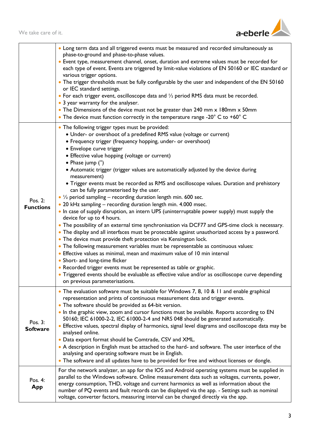

|                             | • Long term data and all triggered events must be measured and recorded simultaneously as<br>phase-to-ground and phase-to-phase values.<br>• Event type, measurement channel, onset, duration and extreme values must be recorded for<br>each type of event. Events are triggered by limit-value violations of EN 50160 or IEC standard or<br>various trigger options.<br>• The trigger thresholds must be fully configurable by the user and independent of the EN 50160<br>or IEC standard settings.<br>• For each trigger event, oscilloscope data and $\frac{1}{2}$ period RMS data must be recorded.<br>• 3 year warranty for the analyser.<br>• The Dimensions of the device must not be greater than 240 mm x 180mm x 50mm<br>• The device must function correctly in the temperature range -20 $^{\circ}$ C to +60 $^{\circ}$ C                                                                                                                                                                                                                                                                                                                                                                                                                                                                                                                                                                                                                                                                         |
|-----------------------------|-----------------------------------------------------------------------------------------------------------------------------------------------------------------------------------------------------------------------------------------------------------------------------------------------------------------------------------------------------------------------------------------------------------------------------------------------------------------------------------------------------------------------------------------------------------------------------------------------------------------------------------------------------------------------------------------------------------------------------------------------------------------------------------------------------------------------------------------------------------------------------------------------------------------------------------------------------------------------------------------------------------------------------------------------------------------------------------------------------------------------------------------------------------------------------------------------------------------------------------------------------------------------------------------------------------------------------------------------------------------------------------------------------------------------------------------------------------------------------------------------------------------|
| Pos. 2:<br><b>Functions</b> | • The following trigger types must be provided:<br>• Under- or overshoot of a predefined RMS value (voltage or current)<br>• Frequency trigger (frequency hopping, under- or overshoot)<br>• Envelope curve trigger<br>• Effective value hopping (voltage or current)<br>• Phase jump $(°)$<br>• Automatic trigger (trigger values are automatically adjusted by the device during<br>measurement)<br>• Trigger events must be recorded as RMS and oscilloscope values. Duration and prehistory<br>can be fully parameterised by the user.<br>• $\frac{1}{2}$ period sampling – recording duration length min. 600 sec.<br>• 20 kHz sampling - recording duration length min. 4.000 msec.<br>. In case of supply disruption, an intern UPS (uninterruptable power supply) must supply the<br>device for up to 4 hours.<br>• The possibility of an external time synchronisation via DCF77 and GPS-time clock is necessary.<br>• The display and all interfaces must be protectable against unauthorized access by a password.<br>• The device must provide theft protection via Kensington lock.<br>• The following measurement variables must be representable as continuous values:<br>• Effective values as minimal, mean and maximum value of 10 min interval<br>• Short- and long-time flicker<br>• Recorded trigger events must be represented as table or graphic.<br>• Triggered events should be evaluable as effective value and/or as oscilloscope curve depending<br>on previous parameterisations. |
| Pos. 3:<br><b>Software</b>  | • The evaluation software must be suitable for Windows 7, 8, 10 & 11 and enable graphical<br>representation and prints of continuous measurement data and trigger events.<br>• The software should be provided as 64-bit version.<br>. In the graphic view, zoom and cursor functions must be available. Reports according to EN<br>50160; IEC 61000-2-2, IEC 61000-2-4 and NRS 048 should be generated automatically.<br>• Effective values, spectral display of harmonics, signal level diagrams and oscilloscope data may be<br>analysed online.<br>• Data export format should be Comtrade, CSV and XML.<br>• A description in English must be attached to the hard- and software. The user interface of the<br>analysing and operating software must be in English.<br>• The software and all updates have to be provided for free and without licenses or dongle.                                                                                                                                                                                                                                                                                                                                                                                                                                                                                                                                                                                                                                         |
| Pos. $4:$<br><b>App</b>     | For the network analyzer, an app for the IOS and Android operating systems must be supplied in<br>parallel to the Windows software. Online measurement data such as voltages, currents, power,<br>energy consumption, THD, voltage and current harmonics as well as information about the<br>number of PQ events and fault records can be displayed via the app. - Settings such as nominal<br>voltage, converter factors, measuring interval can be changed directly via the app.                                                                                                                                                                                                                                                                                                                                                                                                                                                                                                                                                                                                                                                                                                                                                                                                                                                                                                                                                                                                                              |